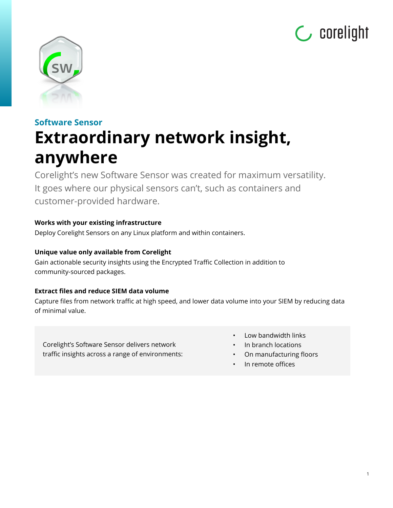



# **Software Sensor Extraordinary network insight, anywhere**

Corelight's new Software Sensor was created for maximum versatility. It goes where our physical sensors can't, such as containers and customer-provided hardware.

# **Works with your existing infrastructure**

Deploy Corelight Sensors on any Linux platform and within containers.

# **Unique value only available from Corelight**

Gain actionable security insights using the Encrypted Traffic Collection in addition to community-sourced packages.

# **Extract files and reduce SIEM data volume**

Capture files from network traffic at high speed, and lower data volume into your SIEM by reducing data of minimal value.

Corelight's Software Sensor delivers network traffic insights across a range of environments:

- Low bandwidth links
- In branch locations
- On manufacturing floors

1

In remote offices